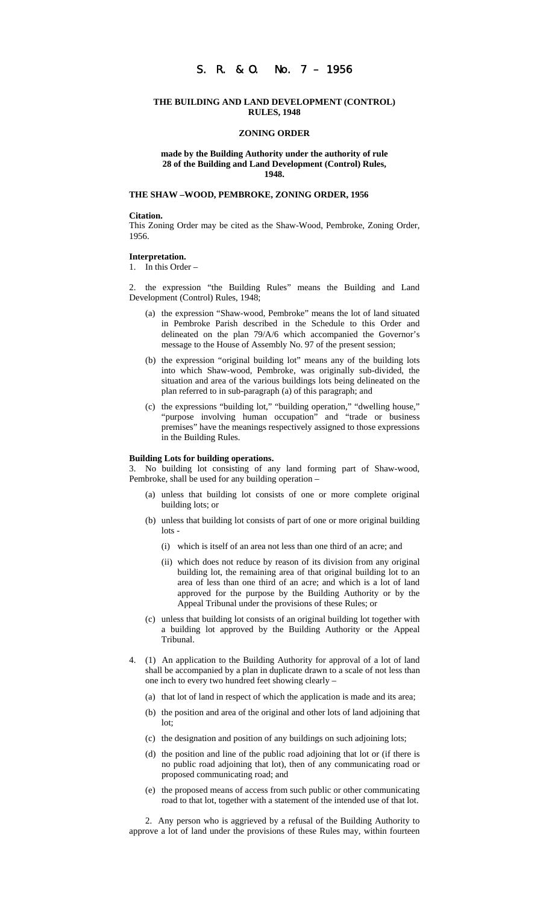# S. R. & O. No. 7 – 1956

## **THE BUILDING AND LAND DEVELOPMENT (CONTROL) RULES, 1948**

## **ZONING ORDER**

## **made by the Building Authority under the authority of rule 28 of the Building and Land Development (Control) Rules, 1948.**

## **THE SHAW –WOOD, PEMBROKE, ZONING ORDER, 1956**

### **Citation.**

This Zoning Order may be cited as the Shaw-Wood, Pembroke, Zoning Order, 1956.

# **Interpretation.**

1. In this Order –

2. the expression "the Building Rules" means the Building and Land Development (Control) Rules, 1948;

- (a) the expression "Shaw-wood, Pembroke" means the lot of land situated in Pembroke Parish described in the Schedule to this Order and delineated on the plan 79/A/6 which accompanied the Governor's message to the House of Assembly No. 97 of the present session;
- (b) the expression "original building lot" means any of the building lots into which Shaw-wood, Pembroke, was originally sub-divided, the situation and area of the various buildings lots being delineated on the plan referred to in sub-paragraph (a) of this paragraph; and
- (c) the expressions "building lot," "building operation," "dwelling house," "purpose involving human occupation" and "trade or business premises" have the meanings respectively assigned to those expressions in the Building Rules.

### **Building Lots for building operations.**

3. No building lot consisting of any land forming part of Shaw-wood, Pembroke, shall be used for any building operation –

- (a) unless that building lot consists of one or more complete original building lots; or
- (b) unless that building lot consists of part of one or more original building lots -
	- (i) which is itself of an area not less than one third of an acre; and
	- (ii) which does not reduce by reason of its division from any original building lot, the remaining area of that original building lot to an area of less than one third of an acre; and which is a lot of land approved for the purpose by the Building Authority or by the Appeal Tribunal under the provisions of these Rules; or
- (c) unless that building lot consists of an original building lot together with a building lot approved by the Building Authority or the Appeal Tribunal.
- 4. (1) An application to the Building Authority for approval of a lot of land shall be accompanied by a plan in duplicate drawn to a scale of not less than one inch to every two hundred feet showing clearly –
	- (a) that lot of land in respect of which the application is made and its area;
	- (b) the position and area of the original and other lots of land adjoining that lot;
	- (c) the designation and position of any buildings on such adjoining lots;
	- (d) the position and line of the public road adjoining that lot or (if there is no public road adjoining that lot), then of any communicating road or proposed communicating road; and
	- (e) the proposed means of access from such public or other communicating road to that lot, together with a statement of the intended use of that lot.

2. Any person who is aggrieved by a refusal of the Building Authority to approve a lot of land under the provisions of these Rules may, within fourteen